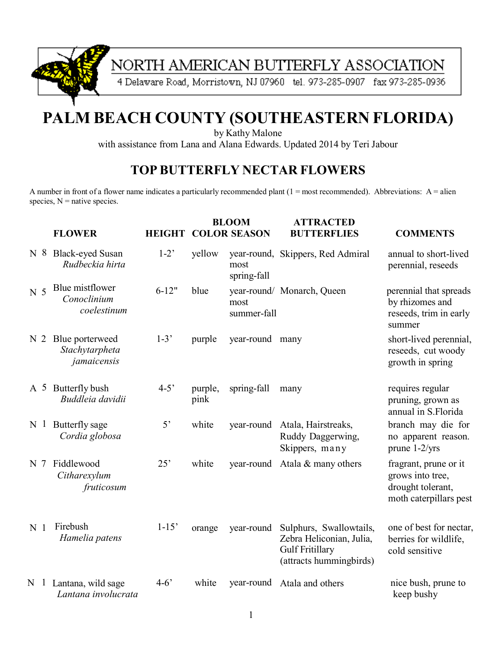

# NORTH AMERICAN BUTTERFLY ASSOCIATION

4 Delaware Road, Morristown, NJ 07960 tel. 973-285-0907 fax 973-285-0936

# **PALM BEACH COUNTY (SOUTHEASTERN FLORIDA)**

by Kathy Malone

with assistance from Lana and Alana Edwards. Updated 2014 by Teri Jabour

#### **TOP BUTTERFLY NECTAR FLOWERS**

A number in front of a flower name indicates a particularly recommended plant  $(1 = most recommended)$ . Abbreviations: A = alien species,  $N =$  native species.

|                |                | <b>FLOWER</b>                                    | <b>HEIGHT</b>  |                 | <b>BLOOM</b><br><b>COLOR SEASON</b> | <b>ATTRACTED</b><br><b>BUTTERFLIES</b>                                                                   | <b>COMMENTS</b>                                                                          |
|----------------|----------------|--------------------------------------------------|----------------|-----------------|-------------------------------------|----------------------------------------------------------------------------------------------------------|------------------------------------------------------------------------------------------|
| N <sub>8</sub> |                | <b>Black-eyed Susan</b><br>Rudbeckia hirta       | $1-2$          | yellow          | most<br>spring-fall                 | year-round, Skippers, Red Admiral                                                                        | annual to short-lived<br>perennial, reseeds                                              |
| N <sub>5</sub> |                | Blue mistflower<br>Conoclinium<br>coelestinum    | $6 - 12"$      | blue            | most<br>summer-fall                 | year-round/ Monarch, Queen                                                                               | perennial that spreads<br>by rhizomes and<br>reseeds, trim in early<br>summer            |
| N <sub>2</sub> |                | Blue porterweed<br>Stachytarpheta<br>jamaicensis | $1-3'$         | purple          | year-round many                     |                                                                                                          | short-lived perennial,<br>reseeds, cut woody<br>growth in spring                         |
|                |                | A 5 Butterfly bush<br>Buddleia davidii           | $4 - 5$        | purple,<br>pink | spring-fall                         | many                                                                                                     | requires regular<br>pruning, grown as<br>annual in S.Florida                             |
|                | N <sub>1</sub> | Butterfly sage<br>Cordia globosa                 | 5 <sup>2</sup> | white           | year-round                          | Atala, Hairstreaks,<br>Ruddy Daggerwing,<br>Skippers, many                                               | branch may die for<br>no apparent reason.<br>prune 1-2/yrs                               |
| N <sub>7</sub> |                | Fiddlewood<br>Citharexylum<br>fruticosum         | 25'            | white           |                                     | year-round Atala & many others                                                                           | fragrant, prune or it<br>grows into tree,<br>drought tolerant,<br>moth caterpillars pest |
| N <sub>1</sub> |                | Firebush<br>Hamelia patens                       | $1 - 15'$      | orange          | year-round                          | Sulphurs, Swallowtails,<br>Zebra Heliconian, Julia,<br><b>Gulf Fritillary</b><br>(attracts hummingbirds) | one of best for nectar,<br>berries for wildlife,<br>cold sensitive                       |
| N <sub>1</sub> |                | Lantana, wild sage<br>Lantana involucrata        | $4 - 6'$       | white           | year-round                          | Atala and others                                                                                         | nice bush, prune to<br>keep bushy                                                        |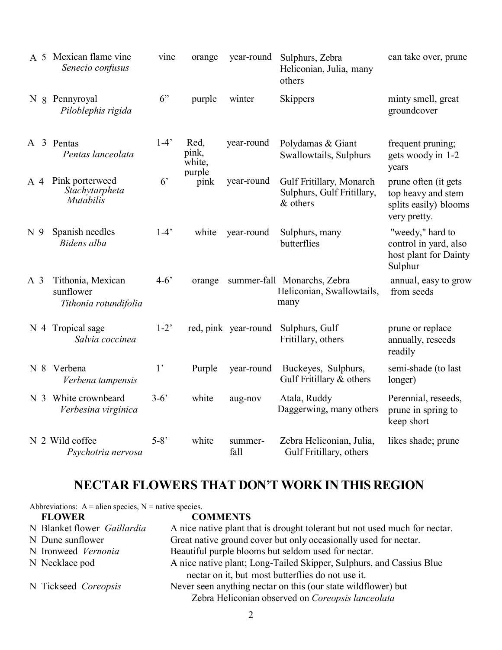|                | A 5 Mexican flame vine<br>Senecio confusus              | vine           | orange                  | year-round           | Sulphurs, Zebra<br>Heliconian, Julia, many<br>others                 | can take over, prune                                                                |
|----------------|---------------------------------------------------------|----------------|-------------------------|----------------------|----------------------------------------------------------------------|-------------------------------------------------------------------------------------|
|                | N & Pennyroyal<br>Piloblephis rigida                    | 6"             | purple                  | winter               | Skippers                                                             | minty smell, great<br>groundcover                                                   |
|                | A 3 Pentas<br>Pentas lanceolata                         | $1-4'$         | Red,<br>pink,<br>white, | year-round           | Polydamas & Giant<br>Swallowtails, Sulphurs                          | frequent pruning;<br>gets woody in 1-2<br>years                                     |
| $A$ 4          | Pink porterweed<br>Stachytarpheta<br><b>Mutabilis</b>   | 6 <sup>2</sup> | purple<br>pink          | year-round           | Gulf Fritillary, Monarch<br>Sulphurs, Gulf Fritillary,<br>$&$ others | prune often (it gets<br>top heavy and stem<br>splits easily) blooms<br>very pretty. |
| N <sub>9</sub> | Spanish needles<br>Bidens alba                          | $1-4'$         | white                   | year-round           | Sulphurs, many<br>butterflies                                        | "weedy," hard to<br>control in yard, also<br>host plant for Dainty<br>Sulphur       |
| A <sub>3</sub> | Tithonia, Mexican<br>sunflower<br>Tithonia rotundifolia | $4 - 6'$       | orange                  |                      | summer-fall Monarchs, Zebra<br>Heliconian, Swallowtails,<br>many     | annual, easy to grow<br>from seeds                                                  |
|                | N 4 Tropical sage<br>Salvia coccinea                    | $1-2$          |                         | red, pink year-round | Sulphurs, Gulf<br>Fritillary, others                                 | prune or replace<br>annually, reseeds<br>readily                                    |
|                | N 8 Verbena<br>Verbena tampensis                        | 1 <sup>2</sup> | Purple                  | year-round           | Buckeyes, Sulphurs,<br>Gulf Fritillary $&$ others                    | semi-shade (to last<br>longer)                                                      |
|                | N 3 White crownbeard<br>Verbesina virginica             | $3 - 6'$       | white                   | aug-nov              | Atala, Ruddy<br>Daggerwing, many others                              | Perennial, reseeds,<br>prune in spring to<br>keep short                             |
|                | N 2 Wild coffee<br>Psychotria nervosa                   | $5 - 8'$       | white                   | summer-<br>fall      | Zebra Heliconian, Julia,<br>Gulf Fritillary, others                  | likes shade; prune                                                                  |

## **NECTAR FLOWERS THAT DON'T WORK IN THIS REGION**

| Abbreviations: $A =$ alien species, $N =$ native species. |                                                                            |  |  |  |  |  |
|-----------------------------------------------------------|----------------------------------------------------------------------------|--|--|--|--|--|
| <b>FLOWER</b>                                             | <b>COMMENTS</b>                                                            |  |  |  |  |  |
| N Blanket flower Gaillardia                               | A nice native plant that is drought tolerant but not used much for nectar. |  |  |  |  |  |
| N Dune sunflower                                          | Great native ground cover but only occasionally used for nectar.           |  |  |  |  |  |
| N Ironweed Vernonia                                       | Beautiful purple blooms but seldom used for nectar.                        |  |  |  |  |  |
| N Necklace pod                                            | A nice native plant; Long-Tailed Skipper, Sulphurs, and Cassius Blue       |  |  |  |  |  |
|                                                           | nectar on it, but most butterflies do not use it.                          |  |  |  |  |  |
| N Tickseed Coreopsis                                      | Never seen anything nectar on this (our state wildflower) but              |  |  |  |  |  |
|                                                           | Zebra Heliconian observed on Coreopsis lanceolata                          |  |  |  |  |  |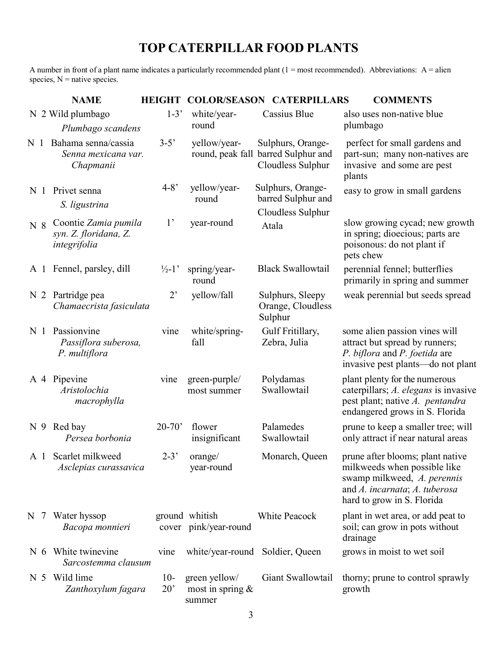## **TOP CATERPILLAR FOOD PLANTS**

A number in front of a plant name indicates a particularly recommended plant  $(1 = most recommended)$ . Abbreviations: A = alien species,  $N =$  native species.

|                |                | <b>NAME</b>                                                   | <b>HEIGHT</b>         |                                                | <b>COLOR/SEASON CATERPILLARS</b>                                              | <b>COMMENTS</b>                                                                                                                                                |
|----------------|----------------|---------------------------------------------------------------|-----------------------|------------------------------------------------|-------------------------------------------------------------------------------|----------------------------------------------------------------------------------------------------------------------------------------------------------------|
|                |                | N 2 Wild plumbago<br>Plumbago scandens                        | $1-3'$                | white/year-<br>round                           | Cassius Blue                                                                  | also uses non-native blue<br>plumbago                                                                                                                          |
| N 1            |                | Bahama senna/cassia<br>Senna mexicana var.<br>Chapmanii       | $3 - 5'$              | yellow/year-                                   | Sulphurs, Orange-<br>round, peak fall barred Sulphur and<br>Cloudless Sulphur | perfect for small gardens and<br>part-sun; many non-natives are<br>invasive and some are pest<br>plants                                                        |
|                |                | N 1 Privet senna<br>S. ligustrina                             | $4 - 8'$              | yellow/year-<br>round                          | Sulphurs, Orange-<br>barred Sulphur and                                       | easy to grow in small gardens                                                                                                                                  |
| N <sub>8</sub> |                | Coontie Zamia pumila<br>syn. Z. floridana, Z.<br>integrifolia | 1'                    | year-round                                     | Cloudless Sulphur<br>Atala                                                    | slow growing cycad; new growth<br>in spring; dioecious; parts are<br>poisonous: do not plant if<br>pets chew                                                   |
|                |                | A 1 Fennel, parsley, dill                                     | $\frac{1}{2}$ -1'     | spring/year-<br>round                          | <b>Black Swallowtail</b>                                                      | perennial fennel; butterflies<br>primarily in spring and summer                                                                                                |
|                |                | N 2 Partridge pea<br>Chamaecrista fasiculata                  | $2^{\circ}$           | yellow/fall                                    | Sulphurs, Sleepy<br>Orange, Cloudless<br>Sulphur                              | weak perennial but seeds spread                                                                                                                                |
| N <sub>1</sub> |                | Passionvine<br>Passiflora suberosa,<br>P. multiflora          | vine                  | white/spring-<br>fall                          | Gulf Fritillary,<br>Zebra, Julia                                              | some alien passion vines will<br>attract but spread by runners;<br>P. biflora and P. foetida are<br>invasive pest plants—do not plant                          |
|                |                | A 4 Pipevine<br>Aristolochia<br>macrophylla                   | vine                  | green-purple/<br>most summer                   | Polydamas<br>Swallowtail                                                      | plant plenty for the numerous<br>caterpillars; A. elegans is invasive<br>pest plant; native A. pentandra<br>endangered grows in S. Florida                     |
|                |                | N 9 Red bay<br>Persea borbonia                                | $20 - 70'$            | flower<br>insignificant                        | Palamedes<br>Swallowtail                                                      | prune to keep a smaller tree; will<br>only attract if near natural areas                                                                                       |
|                |                | A 1 Scarlet milkweed<br>Asclepias curassavica                 | $2 - 3'$              | orange/<br>year-round                          | Monarch, Queen                                                                | prune after blooms; plant native<br>milkweeds when possible like<br>swamp milkweed, A. perennis<br>and A. incarnata; A. tuberosa<br>hard to grow in S. Florida |
| N 7            |                | Water hyssop<br>Bacopa monnieri                               |                       | ground whitish<br>cover pink/year-round        | White Peacock                                                                 | plant in wet area, or add peat to<br>soil; can grow in pots without<br>drainage                                                                                |
|                | N $6$          | White twinevine<br>Sarcostemma clausum                        | vine                  | white/year-round Soldier, Queen                |                                                                               | grows in moist to wet soil                                                                                                                                     |
|                | N <sub>5</sub> | Wild lime<br>Zanthoxylum fagara                               | $10-$<br>$20^{\circ}$ | green yellow/<br>most in spring $\&$<br>summer | Giant Swallowtail                                                             | thorny; prune to control sprawly<br>growth                                                                                                                     |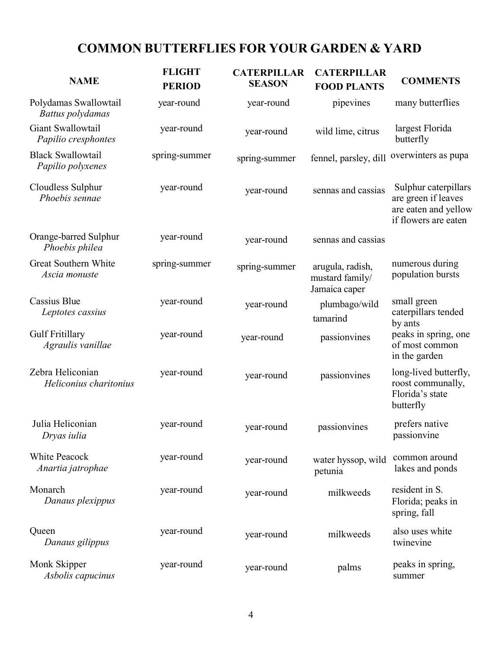## **COMMON BUTTERFLIES FOR YOUR GARDEN & YARD**

| <b>NAME</b>                                   | <b>FLIGHT</b><br><b>PERIOD</b> | <b>CATERPILLAR</b><br><b>SEASON</b> | <b>CATERPILLAR</b><br><b>FOOD PLANTS</b>             | <b>COMMENTS</b>                                                                             |
|-----------------------------------------------|--------------------------------|-------------------------------------|------------------------------------------------------|---------------------------------------------------------------------------------------------|
| Polydamas Swallowtail<br>Battus polydamas     | year-round                     | year-round                          | pipevines                                            | many butterflies                                                                            |
| Giant Swallowtail<br>Papilio cresphontes      | year-round                     | year-round                          | wild lime, citrus                                    | largest Florida<br>butterfly                                                                |
| <b>Black Swallowtail</b><br>Papilio polyxenes | spring-summer                  | spring-summer                       | fennel, parsley, dill                                | overwinters as pupa                                                                         |
| Cloudless Sulphur<br>Phoebis sennae           | year-round                     | year-round                          | sennas and cassias                                   | Sulphur caterpillars<br>are green if leaves<br>are eaten and yellow<br>if flowers are eaten |
| Orange-barred Sulphur<br>Phoebis philea       | year-round                     | year-round                          | sennas and cassias                                   |                                                                                             |
| Great Southern White<br>Ascia monuste         | spring-summer                  | spring-summer                       | arugula, radish,<br>mustard family/<br>Jamaica caper | numerous during<br>population bursts                                                        |
| Cassius Blue<br>Leptotes cassius              | year-round                     | year-round                          | plumbago/wild<br>tamarind                            | small green<br>caterpillars tended<br>by ants                                               |
| <b>Gulf Fritillary</b><br>Agraulis vanillae   | year-round                     | year-round                          | passionvines                                         | peaks in spring, one<br>of most common<br>in the garden                                     |
| Zebra Heliconian<br>Heliconius charitonius    | year-round                     | year-round                          | passionvines                                         | long-lived butterfly,<br>roost communally,<br>Florida's state<br>butterfly                  |
| Julia Heliconian<br>Dryas iulia               | year-round                     | year-round                          | passionvines                                         | prefers native<br>passionvine                                                               |
| <b>White Peacock</b><br>Anartia jatrophae     | year-round                     | year-round                          | water hyssop, wild<br>petunia                        | common around<br>lakes and ponds                                                            |
| Monarch<br>Danaus plexippus                   | year-round                     | year-round                          | milkweeds                                            | resident in S.<br>Florida; peaks in<br>spring, fall                                         |
| Queen<br>Danaus gilippus                      | year-round                     | year-round                          | milkweeds                                            | also uses white<br>twinevine                                                                |
| Monk Skipper<br>Asbolis capucinus             | year-round                     | year-round                          | palms                                                | peaks in spring,<br>summer                                                                  |